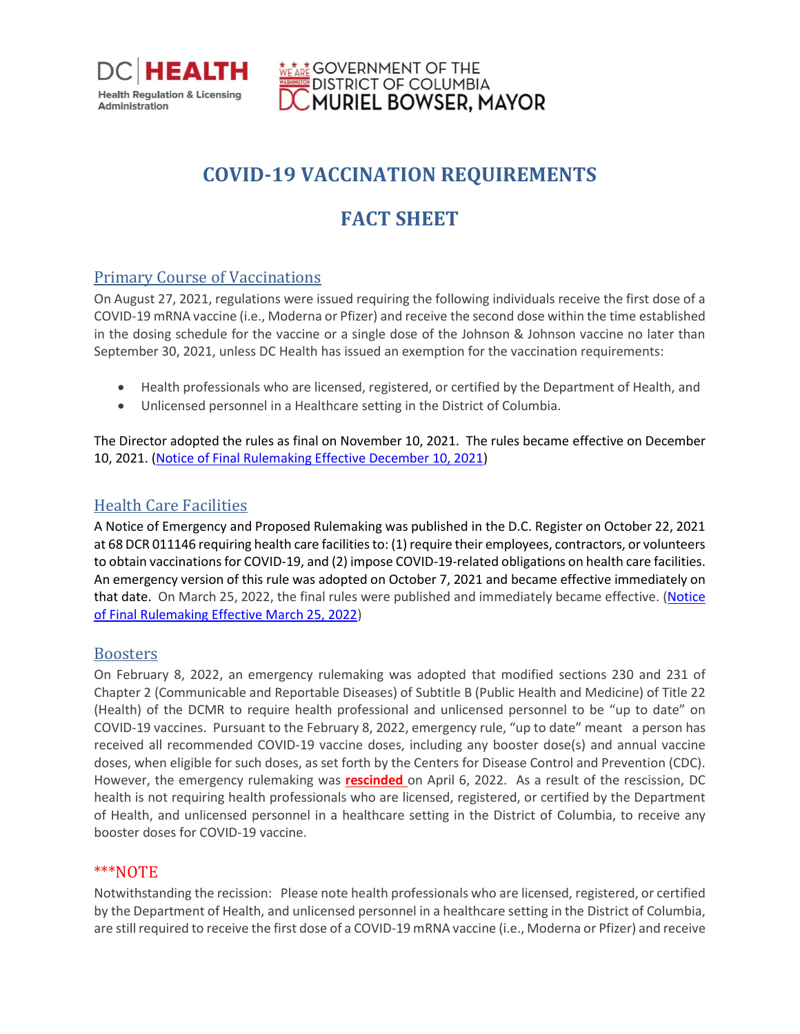

# **GOVERNMENT OF THE** DISTRICT OF COLUMBIA<br>MURIEL BOWSER, MAYOR

## **COVID-19 VACCINATION REQUIREMENTS**

## **FACT SHEET**

## Primary Course of Vaccinations

On August 27, 2021, regulations were issued requiring the following individuals receive the first dose of a COVID-19 mRNA vaccine (i.e., Moderna or Pfizer) and receive the second dose within the time established in the dosing schedule for the vaccine or a single dose of the Johnson & Johnson vaccine no later than September 30, 2021, unless DC Health has issued an exemption for the vaccination requirements:

- Health professionals who are licensed, registered, or certified by the Department of Health, and
- Unlicensed personnel in a Healthcare setting in the District of Columbia.

The Director adopted the rules as final on November 10, 2021. The rules became effective on December 10, 2021. [\(Notice of Final Rulemaking Effective December 10, 2021\)](https://dchealth.dc.gov/sites/default/files/dc/sites/doh/page_content/attachments/NOFR%20Published%2012-10-2021%20-%2068%20DCR%20013014.pdf)

## Health Care Facilities

A Notice of Emergency and Proposed Rulemaking was published in the D.C. Register on October 22, 2021 at 68 DCR 011146 requiring health care facilities to: (1) require their employees, contractors, or volunteers to obtain vaccinations for COVID-19, and (2) impose COVID-19-related obligations on health care facilities. An emergency version of this rule was adopted on October 7, 2021 and became effective immediately on that date. On March 25, 2022, the final rules were published and immediately became effective. [\(Notice](https://dchealth.dc.gov/sites/default/files/dc/sites/doh/page_content/attachments/NOFR%20-%2069%20DCR%20002469%20-%2003-25-2022.pdf)  [of Final Rulemaking Effective March 25, 2022\)](https://dchealth.dc.gov/sites/default/files/dc/sites/doh/page_content/attachments/NOFR%20-%2069%20DCR%20002469%20-%2003-25-2022.pdf)

### Boosters

On February 8, 2022, an emergency rulemaking was adopted that modified sections 230 and 231 of Chapter 2 (Communicable and Reportable Diseases) of Subtitle B (Public Health and Medicine) of Title 22 (Health) of the DCMR to require health professional and unlicensed personnel to be "up to date" on COVID-19 vaccines. Pursuant to the February 8, 2022, emergency rule, "up to date" meant a person has received all recommended COVID-19 vaccine doses, including any booster dose(s) and annual vaccine doses, when eligible for such doses, as set forth by the Centers for Disease Control and Prevention (CDC). However, the emergency rulemaking was **rescinded** on April 6, 2022. As a result of the rescission, DC health is not requiring health professionals who are licensed, registered, or certified by the Department of Health, and unlicensed personnel in a healthcare setting in the District of Columbia, to receive any booster doses for COVID-19 vaccine.

### \*\*\*NOTE

Notwithstanding the recission: Please note health professionals who are licensed, registered, or certified by the Department of Health, and unlicensed personnel in a healthcare setting in the District of Columbia, are still required to receive the first dose of a COVID-19 mRNA vaccine (i.e., Moderna or Pfizer) and receive